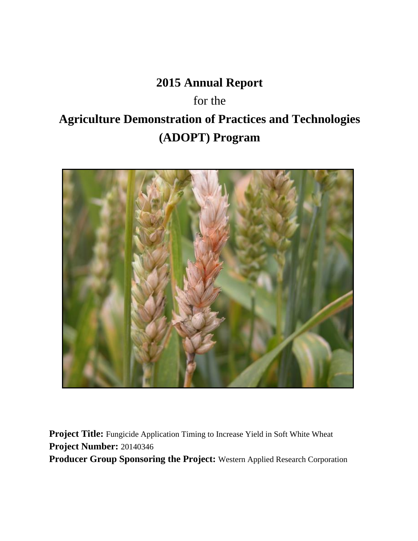# **2015 Annual Report**

for the **Agriculture Demonstration of Practices and Technologies (ADOPT) Program**



Project Title: Fungicide Application Timing to Increase Yield in Soft White Wheat **Project Number:** 20140346 **Producer Group Sponsoring the Project:** Western Applied Research Corporation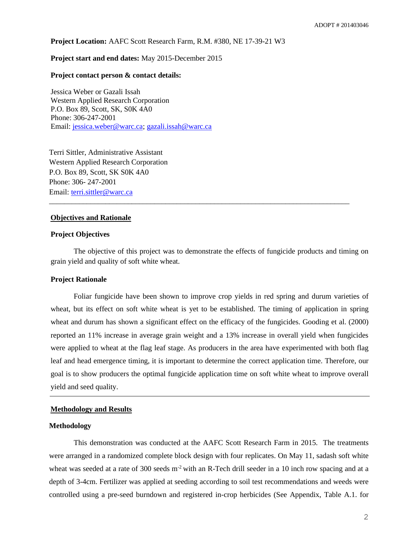**Project Location:** AAFC Scott Research Farm, R.M. #380, NE 17-39-21 W3

## **Project start and end dates:** May 2015-December 2015

## **Project contact person & contact details:**

Jessica Weber or Gazali Issah Western Applied Research Corporation P.O. Box 89, Scott, SK, S0K 4A0 Phone: 306-247-2001 Email: [jessica.weber@warc.ca;](mailto:jessica.weber@warc.ca) [gazali.issah@warc.ca](mailto:gazali.issah@warc.ca)

Terri Sittler, Administrative Assistant Western Applied Research Corporation P.O. Box 89, Scott, SK S0K 4A0 Phone: 306- 247-2001 Email: [terri.sittler@warc.ca](mailto:terri.sittler@warc.ca)

## **Objectives and Rationale**

## **Project Objectives**

The objective of this project was to demonstrate the effects of fungicide products and timing on grain yield and quality of soft white wheat.

\_\_\_\_\_\_\_\_\_\_\_\_\_\_\_\_\_\_\_\_\_\_\_\_\_\_\_\_\_\_\_\_\_\_\_\_\_\_\_\_\_\_\_\_\_\_\_\_\_\_\_\_\_\_\_\_\_\_\_\_\_\_\_\_\_\_\_\_\_\_\_\_\_\_\_\_\_\_\_\_

#### **Project Rationale**

Foliar fungicide have been shown to improve crop yields in red spring and durum varieties of wheat, but its effect on soft white wheat is yet to be established. The timing of application in spring wheat and durum has shown a significant effect on the efficacy of the fungicides. Gooding et al. (2000) reported an 11% increase in average grain weight and a 13% increase in overall yield when fungicides were applied to wheat at the flag leaf stage. As producers in the area have experimented with both flag leaf and head emergence timing, it is important to determine the correct application time. Therefore, our goal is to show producers the optimal fungicide application time on soft white wheat to improve overall yield and seed quality.

## **Methodology and Results**

## **Methodology**

This demonstration was conducted at the AAFC Scott Research Farm in 2015. The treatments were arranged in a randomized complete block design with four replicates. On May 11, sadash soft white wheat was seeded at a rate of 300 seeds  $m<sup>2</sup>$  with an R-Tech drill seeder in a 10 inch row spacing and at a depth of 3-4cm. Fertilizer was applied at seeding according to soil test recommendations and weeds were controlled using a pre-seed burndown and registered in-crop herbicides (See Appendix, Table A.1. for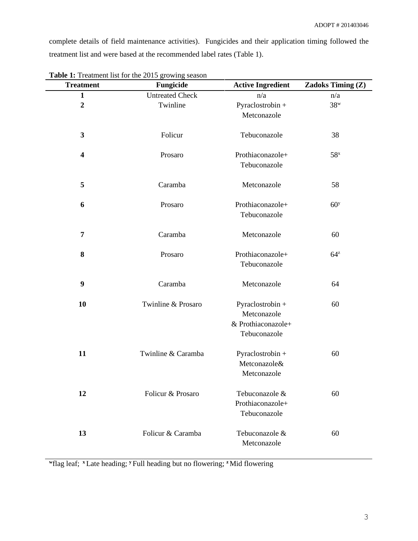complete details of field maintenance activities). Fungicides and their application timing followed the treatment list and were based at the recommended label rates (Table 1).

| <b>Treatment</b>        | <b>EXAMPLE 11 POWERFOLUTE 2015</b> AT $\mu$ will be about<br>Fungicide | <b>Active Ingredient</b>                                              | <b>Zadoks Timing (Z)</b> |
|-------------------------|------------------------------------------------------------------------|-----------------------------------------------------------------------|--------------------------|
| $\mathbf{1}$            | <b>Untreated Check</b>                                                 | n/a                                                                   | n/a                      |
| $\overline{2}$          | Twinline                                                               | Pyraclostrobin +                                                      | $38^w$                   |
|                         |                                                                        | Metconazole                                                           |                          |
| 3                       | Folicur                                                                | Tebuconazole                                                          | 38                       |
| $\overline{\mathbf{4}}$ | Prosaro                                                                | Prothiaconazole+<br>Tebuconazole                                      | 58 <sup>x</sup>          |
| 5                       | Caramba                                                                | Metconazole                                                           | 58                       |
| 6                       | Prosaro                                                                | Prothiaconazole+<br>Tebuconazole                                      | 60 <sup>y</sup>          |
| 7                       | Caramba                                                                | Metconazole                                                           | 60                       |
| 8                       | Prosaro                                                                | Prothiaconazole+<br>Tebuconazole                                      | $64^z$                   |
| 9                       | Caramba                                                                | Metconazole                                                           | 64                       |
| 10                      | Twinline & Prosaro                                                     | Pyraclostrobin +<br>Metconazole<br>& Prothiaconazole+<br>Tebuconazole | 60                       |
| 11                      | Twinline & Caramba                                                     | Pyraclostrobin +<br>Metconazole&<br>Metconazole                       | 60                       |
| 12                      | Folicur & Prosaro                                                      | Tebuconazole &<br>Prothiaconazole+<br>Tebuconazole                    | 60                       |
| 13                      | Folicur & Caramba                                                      | Tebuconazole &<br>Metconazole                                         | 60                       |

Table 1: Treatment list for the 2015 growing season

**w** flag leaf; **<sup>x</sup>** Late heading; **<sup>y</sup>** Full heading but no flowering; **<sup>z</sup>**Mid flowering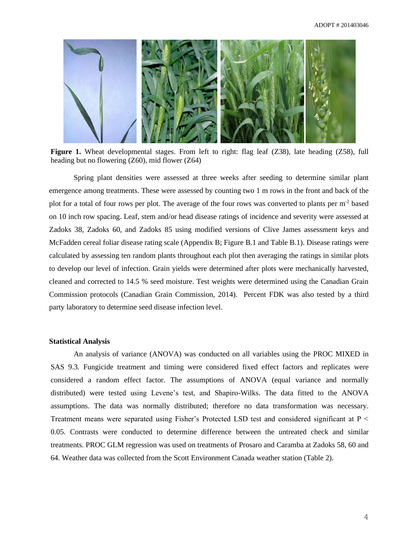

**Figure 1.** Wheat developmental stages. From left to right: flag leaf (Z38), late heading (Z58), full heading but no flowering (Z60), mid flower (Z64)

Spring plant densities were assessed at three weeks after seeding to determine similar plant emergence among treatments. These were assessed by counting two 1 m rows in the front and back of the plot for a total of four rows per plot. The average of the four rows was converted to plants per  $m<sup>2</sup>$  based on 10 inch row spacing. Leaf, stem and/or head disease ratings of incidence and severity were assessed at Zadoks 38, Zadoks 60, and Zadoks 85 using modified versions of Clive James assessment keys and McFadden cereal foliar disease rating scale (Appendix B; Figure B.1 and Table B.1). Disease ratings were calculated by assessing ten random plants throughout each plot then averaging the ratings in similar plots to develop our level of infection. Grain yields were determined after plots were mechanically harvested, cleaned and corrected to 14.5 % seed moisture. Test weights were determined using the Canadian Grain Commission protocols (Canadian Grain Commission, 2014). Percent FDK was also tested by a third party laboratory to determine seed disease infection level.

## **Statistical Analysis**

An analysis of variance (ANOVA) was conducted on all variables using the PROC MIXED in SAS 9.3. Fungicide treatment and timing were considered fixed effect factors and replicates were considered a random effect factor. The assumptions of ANOVA (equal variance and normally distributed) were tested using Levene's test, and Shapiro-Wilks. The data fitted to the ANOVA assumptions. The data was normally distributed; therefore no data transformation was necessary. Treatment means were separated using Fisher's Protected LSD test and considered significant at P < 0.05. Contrasts were conducted to determine difference between the untreated check and similar treatments. PROC GLM regression was used on treatments of Prosaro and Caramba at Zadoks 58, 60 and 64. Weather data was collected from the Scott Environment Canada weather station (Table 2).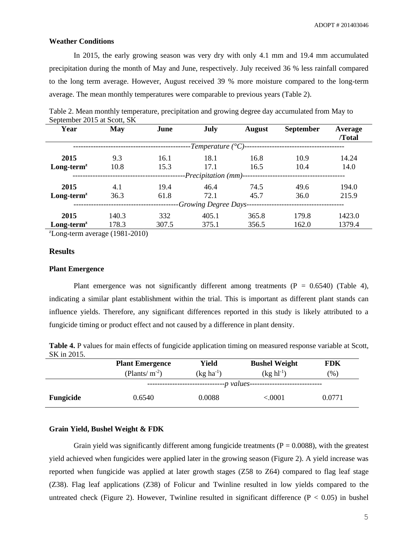#### **Weather Conditions**

In 2015, the early growing season was very dry with only 4.1 mm and 19.4 mm accumulated precipitation during the month of May and June, respectively. July received 36 % less rainfall compared to the long term average. However, August received 39 % more moisture compared to the long-term average. The mean monthly temperatures were comparable to previous years (Table 2).

| Year                          | May   | June  | July  | <b>August</b> | <b>September</b> | Average |  |  |  |  |
|-------------------------------|-------|-------|-------|---------------|------------------|---------|--|--|--|--|
|                               |       |       |       |               |                  | /Total  |  |  |  |  |
| -Temperature $(^{\circ}C)$ -- |       |       |       |               |                  |         |  |  |  |  |
| 2015                          | 9.3   | 16.1  | 18.1  | 16.8          | 10.9             | 14.24   |  |  |  |  |
| $Long-termz$                  | 10.8  | 15.3  | 17.1  | 10.4<br>16.5  |                  | 14.0    |  |  |  |  |
| -Precipitation (mm)--         |       |       |       |               |                  |         |  |  |  |  |
| 2015                          | 4.1   | 19.4  | 46.4  | 74.5          | 49.6             | 194.0   |  |  |  |  |
| $Long-termz$                  | 36.3  | 61.8  | 72.1  | 45.7          | 36.0             | 215.9   |  |  |  |  |
| -Growing Degree Days-         |       |       |       |               |                  |         |  |  |  |  |
| 2015                          | 140.3 | 332   | 405.1 | 365.8         | 179.8            | 1423.0  |  |  |  |  |
| $Long-termz$                  | 178.3 | 307.5 | 375.1 | 356.5         | 162.0            | 1379.4  |  |  |  |  |
|                               |       |       |       |               |                  |         |  |  |  |  |

Table 2. Mean monthly temperature, precipitation and growing degree day accumulated from May to September 2015 at Scott, SK

 $\text{z}$ Long-term average (1981-2010)

# **Results**

#### **Plant Emergence**

Plant emergence was not significantly different among treatments  $(P = 0.6540)$  (Table 4), indicating a similar plant establishment within the trial. This is important as different plant stands can influence yields. Therefore, any significant differences reported in this study is likely attributed to a fungicide timing or product effect and not caused by a difference in plant density.

| Table 4. P values for main effects of fungicide application timing on measured response variable at Scott, |  |
|------------------------------------------------------------------------------------------------------------|--|
| SK in 2015.                                                                                                |  |

|                  | <b>Plant Emergence</b> | Yield          | <b>Bushel Weight</b> | FDK    |  |  |  |  |  |
|------------------|------------------------|----------------|----------------------|--------|--|--|--|--|--|
|                  | (Plants/ $m^{-2}$ )    | $(kg ha^{-1})$ | $(kg h1^{-1})$       | (% )   |  |  |  |  |  |
|                  | -p values----          |                |                      |        |  |  |  |  |  |
| <b>Fungicide</b> | 0.6540                 | 0.0088         | $<\!\!.0001$         | 0.0771 |  |  |  |  |  |

## **Grain Yield, Bushel Weight & FDK**

Grain yield was significantly different among fungicide treatments ( $P = 0.0088$ ), with the greatest yield achieved when fungicides were applied later in the growing season (Figure 2). A yield increase was reported when fungicide was applied at later growth stages (Z58 to Z64) compared to flag leaf stage (Z38). Flag leaf applications (Z38) of Folicur and Twinline resulted in low yields compared to the untreated check (Figure 2). However, Twinline resulted in significant difference ( $P < 0.05$ ) in bushel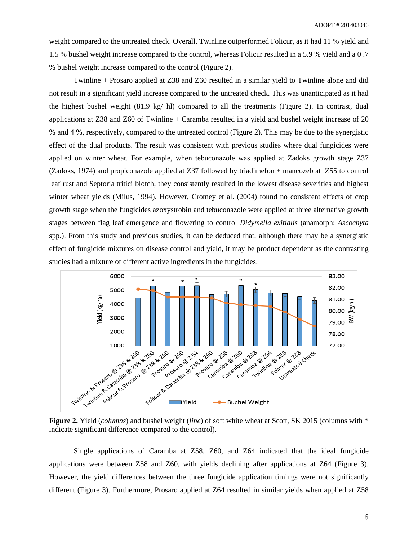weight compared to the untreated check. Overall, Twinline outperformed Folicur, as it had 11 % yield and 1.5 % bushel weight increase compared to the control, whereas Folicur resulted in a 5.9 % yield and a 0 .7 % bushel weight increase compared to the control (Figure 2).

Twinline + Prosaro applied at Z38 and Z60 resulted in a similar yield to Twinline alone and did not result in a significant yield increase compared to the untreated check. This was unanticipated as it had the highest bushel weight  $(81.9 \text{ kg/h})$  compared to all the treatments (Figure 2). In contrast, dual applications at Z38 and Z60 of Twinline + Caramba resulted in a yield and bushel weight increase of 20 % and 4 %, respectively, compared to the untreated control (Figure 2). This may be due to the synergistic effect of the dual products. The result was consistent with previous studies where dual fungicides were applied on winter wheat. For example, when tebuconazole was applied at Zadoks growth stage Z37 (Zadoks, 1974) and propiconazole applied at Z37 followed by triadimefon + mancozeb at Z55 to control leaf rust and Septoria tritici blotch, they consistently resulted in the lowest disease severities and highest winter wheat yields (Milus, 1994). However, Cromey et al. (2004) found no consistent effects of crop growth stage when the fungicides azoxystrobin and tebuconazole were applied at three alternative growth stages between flag leaf emergence and flowering to control *Didymella exitialis* (anamorph: *Ascochyta* spp.). From this study and previous studies, it can be deduced that, although there may be a synergistic effect of fungicide mixtures on disease control and yield, it may be product dependent as the contrasting studies had a mixture of different active ingredients in the fungicides.



**Figure 2.** Yield (*columns*) and bushel weight (*line*) of soft white wheat at Scott, SK 2015 (columns with \* indicate significant difference compared to the control).

Single applications of Caramba at Z58, Z60, and Z64 indicated that the ideal fungicide applications were between Z58 and Z60, with yields declining after applications at Z64 (Figure 3). However, the yield differences between the three fungicide application timings were not significantly different (Figure 3). Furthermore, Prosaro applied at Z64 resulted in similar yields when applied at Z58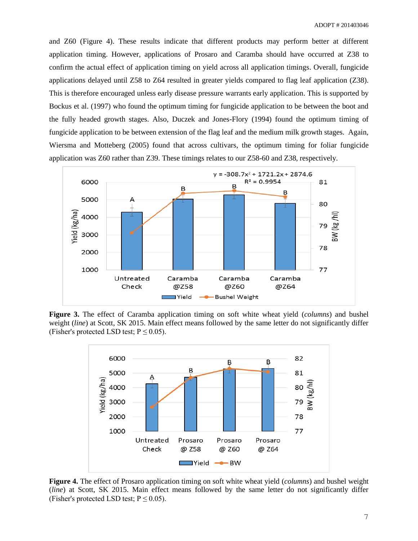and Z60 (Figure 4). These results indicate that different products may perform better at different application timing. However, applications of Prosaro and Caramba should have occurred at Z38 to confirm the actual effect of application timing on yield across all application timings. Overall, fungicide applications delayed until Z58 to Z64 resulted in greater yields compared to flag leaf application (Z38). This is therefore encouraged unless early disease pressure warrants early application. This is supported by Bockus et al. (1997) who found the optimum timing for fungicide application to be between the boot and the fully headed growth stages. Also, Duczek and Jones-Flory (1994) found the optimum timing of fungicide application to be between extension of the flag leaf and the medium milk growth stages. Again, Wiersma and Motteberg (2005) found that across cultivars, the optimum timing for foliar fungicide application was Z60 rather than Z39. These timings relates to our Z58-60 and Z38, respectively.



**Figure 3.** The effect of Caramba application timing on soft white wheat yield (*columns*) and bushel weight (*line*) at Scott, SK 2015. Main effect means followed by the same letter do not significantly differ (Fisher's protected LSD test;  $P \le 0.05$ ).



**Figure 4.** The effect of Prosaro application timing on soft white wheat yield (*columns*) and bushel weight (*line*) at Scott, SK 2015. Main effect means followed by the same letter do not significantly differ (Fisher's protected LSD test;  $P \le 0.05$ ).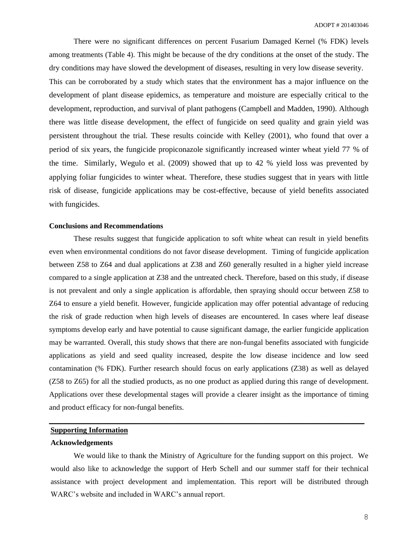There were no significant differences on percent Fusarium Damaged Kernel (% FDK) levels among treatments (Table 4). This might be because of the dry conditions at the onset of the study. The dry conditions may have slowed the development of diseases, resulting in very low disease severity. This can be corroborated by a study which states that the environment has a major influence on the development of plant disease epidemics, as temperature and moisture are especially critical to the development, reproduction, and survival of plant pathogens (Campbell and Madden, 1990). Although there was little disease development, the effect of fungicide on seed quality and grain yield was persistent throughout the trial. These results coincide with Kelley (2001), who found that over a period of six years, the fungicide propiconazole significantly increased winter wheat yield 77 % of the time. Similarly, Wegulo et al. (2009) showed that up to 42 % yield loss was prevented by applying foliar fungicides to winter wheat. Therefore, these studies suggest that in years with little risk of disease, fungicide applications may be cost-effective, because of yield benefits associated with fungicides.

## **Conclusions and Recommendations**

These results suggest that fungicide application to soft white wheat can result in yield benefits even when environmental conditions do not favor disease development. Timing of fungicide application between Z58 to Z64 and dual applications at Z38 and Z60 generally resulted in a higher yield increase compared to a single application at Z38 and the untreated check. Therefore, based on this study, if disease is not prevalent and only a single application is affordable, then spraying should occur between Z58 to Z64 to ensure a yield benefit. However, fungicide application may offer potential advantage of reducing the risk of grade reduction when high levels of diseases are encountered. In cases where leaf disease symptoms develop early and have potential to cause significant damage, the earlier fungicide application may be warranted. Overall, this study shows that there are non-fungal benefits associated with fungicide applications as yield and seed quality increased, despite the low disease incidence and low seed contamination (% FDK). Further research should focus on early applications (Z38) as well as delayed (Z58 to Z65) for all the studied products, as no one product as applied during this range of development. Applications over these developmental stages will provide a clearer insight as the importance of timing and product efficacy for non-fungal benefits.

# **Supporting Information**

## **Acknowledgements**

We would like to thank the Ministry of Agriculture for the funding support on this project. We would also like to acknowledge the support of Herb Schell and our summer staff for their technical assistance with project development and implementation. This report will be distributed through WARC's website and included in WARC's annual report.

**\_\_\_\_\_\_\_\_\_\_\_\_\_\_\_\_\_\_\_\_\_\_\_\_\_\_\_\_\_\_\_\_\_\_\_\_\_\_\_\_\_\_\_\_\_\_\_\_\_\_\_\_\_\_\_\_\_\_\_\_\_\_\_\_\_\_\_\_\_\_\_\_\_\_\_\_\_\_\_\_\_\_\_\_**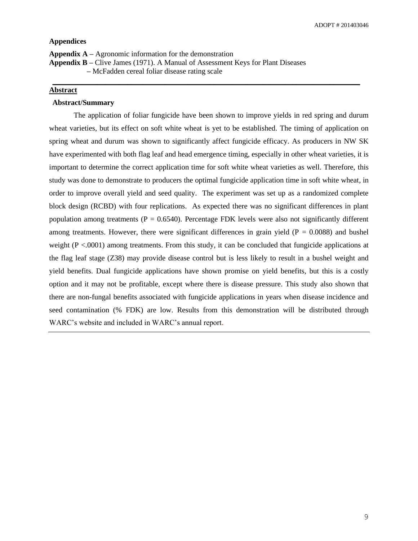## **Appendices**

**Appendix A –** Agronomic information for the demonstration

**Appendix B –** Clive James (1971). A Manual of Assessment Keys for Plant Diseases

**–** McFadden cereal foliar disease rating scale

# **Abstract**

## **Abstract/Summary**

The application of foliar fungicide have been shown to improve yields in red spring and durum wheat varieties, but its effect on soft white wheat is yet to be established. The timing of application on spring wheat and durum was shown to significantly affect fungicide efficacy. As producers in NW SK have experimented with both flag leaf and head emergence timing, especially in other wheat varieties, it is important to determine the correct application time for soft white wheat varieties as well. Therefore, this study was done to demonstrate to producers the optimal fungicide application time in soft white wheat, in order to improve overall yield and seed quality. The experiment was set up as a randomized complete block design (RCBD) with four replications. As expected there was no significant differences in plant population among treatments ( $P = 0.6540$ ). Percentage FDK levels were also not significantly different among treatments. However, there were significant differences in grain yield ( $P = 0.0088$ ) and bushel weight  $(P < .0001)$  among treatments. From this study, it can be concluded that fungicide applications at the flag leaf stage (Z38) may provide disease control but is less likely to result in a bushel weight and yield benefits. Dual fungicide applications have shown promise on yield benefits, but this is a costly option and it may not be profitable, except where there is disease pressure. This study also shown that there are non-fungal benefits associated with fungicide applications in years when disease incidence and seed contamination (% FDK) are low. Results from this demonstration will be distributed through WARC's website and included in WARC's annual report.

**\_\_\_\_\_\_\_\_\_\_\_\_\_\_\_\_\_\_\_\_\_\_\_\_\_\_\_\_\_\_\_\_\_\_\_\_\_\_\_\_\_\_\_\_\_\_\_\_\_\_\_\_\_\_\_\_\_\_\_\_\_\_\_\_\_\_\_\_\_\_\_\_\_\_\_\_\_\_\_\_\_\_**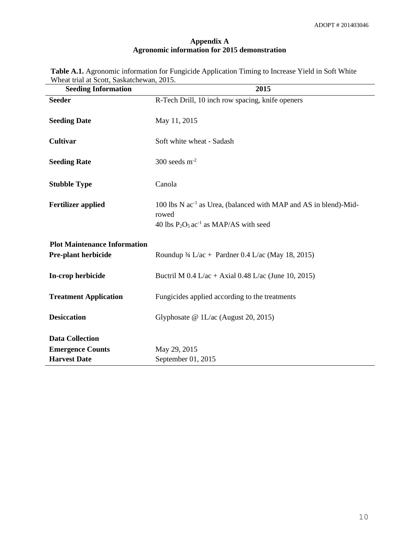# **Appendix A Agronomic information for 2015 demonstration**

|                                           | <b>Table A.1.</b> Agronomic information for Fungicide Application Timing to Increase Yield in Soft White |  |
|-------------------------------------------|----------------------------------------------------------------------------------------------------------|--|
| Wheat trial at Scott, Saskatchewan, 2015. |                                                                                                          |  |

| <b>Seeding Information</b>          | 2015                                                                                                                                          |
|-------------------------------------|-----------------------------------------------------------------------------------------------------------------------------------------------|
| <b>Seeder</b>                       | R-Tech Drill, 10 inch row spacing, knife openers                                                                                              |
| <b>Seeding Date</b>                 | May 11, 2015                                                                                                                                  |
| <b>Cultivar</b>                     | Soft white wheat - Sadash                                                                                                                     |
| <b>Seeding Rate</b>                 | 300 seeds $m-2$                                                                                                                               |
| <b>Stubble Type</b>                 | Canola                                                                                                                                        |
| <b>Fertilizer applied</b>           | 100 lbs N ac <sup>-1</sup> as Urea, (balanced with MAP and AS in blend)-Mid-<br>rowed<br>40 lbs $P_2O_5$ ac <sup>-1</sup> as MAP/AS with seed |
| <b>Plot Maintenance Information</b> |                                                                                                                                               |
| Pre-plant herbicide                 | Roundup $\frac{3}{4}$ L/ac + Pardner 0.4 L/ac (May 18, 2015)                                                                                  |
| In-crop herbicide                   | Buctril M $0.4$ L/ac + Axial $0.48$ L/ac (June 10, 2015)                                                                                      |
| <b>Treatment Application</b>        | Fungicides applied according to the treatments                                                                                                |
| <b>Desiccation</b>                  | Glyphosate @ 1L/ac (August 20, 2015)                                                                                                          |
| <b>Data Collection</b>              |                                                                                                                                               |
| <b>Emergence Counts</b>             | May 29, 2015                                                                                                                                  |
| <b>Harvest Date</b>                 | September 01, 2015                                                                                                                            |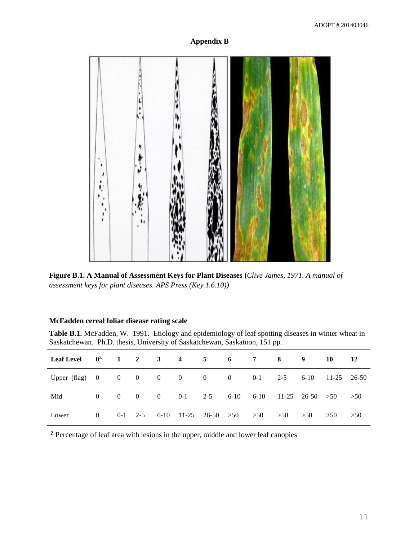# **Appendix B**



**Figure B.1. A Manual of Assessment Keys for Plant Diseases (***Clive James, 1971. A manual of assessment keys for plant diseases. APS Press (Key 1.6.10))*

# **McFadden cereal foliar disease rating scale**

**Table B.1.** McFadden, W. 1991. Etiology and epidemiology of leaf spotting diseases in winter wheat in Saskatchewan. Ph.D. thesis, University of Saskatchewan, Saskatoon, 151 pp.

| Leaf Level $0^2$ 1 2 3 4 5 6 7 8 9                                         |  |  |  |                                                        |  | 10 |  |
|----------------------------------------------------------------------------|--|--|--|--------------------------------------------------------|--|----|--|
| Upper (flag) $0 \t 0 \t 0 \t 0 \t 0 \t 0$ 0 0 0 0 0 0 2-5 6-10 11-25 26-50 |  |  |  |                                                        |  |    |  |
| Mid                                                                        |  |  |  | 0 0 0 0 0 0-1 2-5 6-10 6-10 11-25 26-50 $>50$ $>50$    |  |    |  |
| Lower                                                                      |  |  |  | 0 0-1 2-5 6-10 11-25 26-50 >50 >50 >50 >50 >50 >50 >50 |  |    |  |

<sup>z</sup> Percentage of leaf area with lesions in the upper, middle and lower leaf canopies